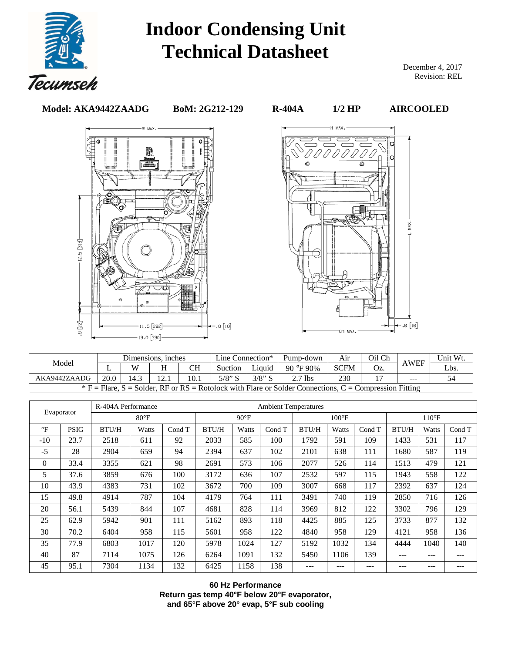

## **Indoor Condensing Unit Technical Datasheet**

December 4, 2017 Revision: REL

**Model: AKA9442ZAADG BoM: 2G212-129 R-404A 1/2 HP AIRCOOLED** 





| Dimensions, inches<br>Model                                                                            |      |      |  |      | Line Connection* |           | Pump-down      | Air         | Oil Ch | <b>AWEF</b>   | Unit Wt. |
|--------------------------------------------------------------------------------------------------------|------|------|--|------|------------------|-----------|----------------|-------------|--------|---------------|----------|
|                                                                                                        |      | W    |  | CН   | Suction          | Liquid    | 90 °F 90%      | <b>SCFM</b> | Oz.    |               | Lbs.     |
| AKA9442ZAADG                                                                                           | 20.0 | 14.3 |  | 10.1 | $5/8$ " S        | $3/8$ " S | $\gamma$ 7 lbs | 230         |        | $\frac{1}{2}$ |          |
| $F =$ Fiare, S = Solder, RF or RS = Rotolock with Flare or Solder Connections, C = Compression Fitting |      |      |  |      |                  |           |                |             |        |               |          |

| R-404A Performance           |             |              |               |        | <b>Ambient Temperatures</b> |                 |        |              |                |        |              |       |        |  |
|------------------------------|-------------|--------------|---------------|--------|-----------------------------|-----------------|--------|--------------|----------------|--------|--------------|-------|--------|--|
| Evaporator<br>$80^{\circ}$ F |             |              | $90^{\circ}F$ |        |                             | $100^{\circ}$ F |        |              | $110^{\circ}F$ |        |              |       |        |  |
| $\mathrm{P}$                 | <b>PSIG</b> | <b>BTU/H</b> | Watts         | Cond T | <b>BTU/H</b>                | Watts           | Cond T | <b>BTU/H</b> | Watts          | Cond T | <b>BTU/H</b> | Watts | Cond T |  |
| $-10$                        | 23.7        | 2518         | 611           | 92     | 2033                        | 585             | 100    | 1792         | 591            | 109    | 1433         | 531   | 117    |  |
| $-5$                         | 28          | 2904         | 659           | 94     | 2394                        | 637             | 102    | 2101         | 638            | 111    | 1680         | 587   | 119    |  |
| $\Omega$                     | 33.4        | 3355         | 621           | 98     | 2691                        | 573             | 106    | 2077         | 526            | 114    | 1513         | 479   | 121    |  |
| 5                            | 37.6        | 3859         | 676           | 100    | 3172                        | 636             | 107    | 2532         | 597            | 115    | 1943         | 558   | 122    |  |
| 10                           | 43.9        | 4383         | 731           | 102    | 3672                        | 700             | 109    | 3007         | 668            | 117    | 2392         | 637   | 124    |  |
| 15                           | 49.8        | 4914         | 787           | 104    | 4179                        | 764             | 111    | 3491         | 740            | 119    | 2850         | 716   | 126    |  |
| 20                           | 56.1        | 5439         | 844           | 107    | 4681                        | 828             | 114    | 3969         | 812            | 122    | 3302         | 796   | 129    |  |
| 25                           | 62.9        | 5942         | 901           | 111    | 5162                        | 893             | 118    | 4425         | 885            | 125    | 3733         | 877   | 132    |  |
| 30                           | 70.2        | 6404         | 958           | 115    | 5601                        | 958             | 122    | 4840         | 958            | 129    | 4121         | 958   | 136    |  |
| 35                           | 77.9        | 6803         | 1017          | 120    | 5978                        | 1024            | 127    | 5192         | 1032           | 134    | 4444         | 1040  | 140    |  |
| 40                           | 87          | 7114         | 1075          | 126    | 6264                        | 1091            | 132    | 5450         | 1106           | 139    | ---          | $---$ | ---    |  |
| 45                           | 95.1        | 7304         | 1134          | 132    | 6425                        | 1158            | 138    | ---          | $---$          | ---    | ---          | $---$ | ---    |  |

**60 Hz Performance Return gas temp 40°F below 20°F evaporator, and 65°F above 20° evap, 5°F sub cooling**